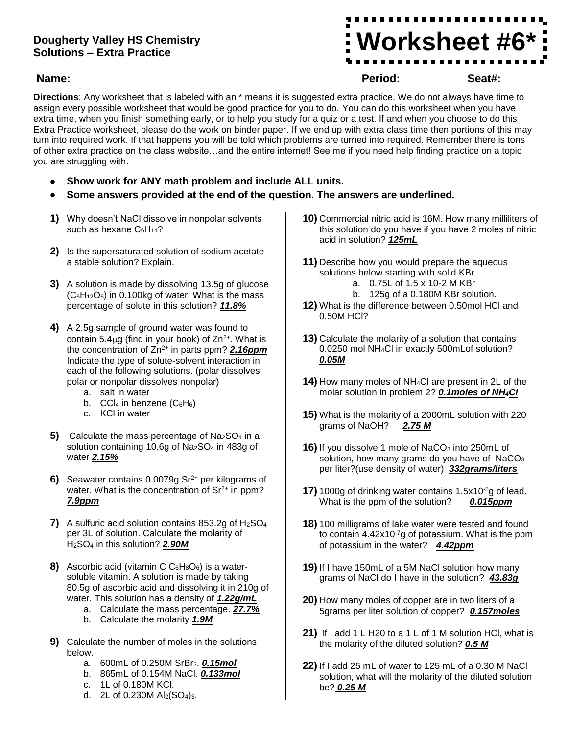## **Dougherty Valley HS Chemistry Solutions – Extra Practice**

**Worksheet #6\***

#### **Name: Period: Seat#:**

**Directions**: Any worksheet that is labeled with an \* means it is suggested extra practice. We do not always have time to assign every possible worksheet that would be good practice for you to do. You can do this worksheet when you have extra time, when you finish something early, or to help you study for a quiz or a test. If and when you choose to do this Extra Practice worksheet, please do the work on binder paper. If we end up with extra class time then portions of this may turn into required work. If that happens you will be told which problems are turned into required. Remember there is tons of other extra practice on the class website…and the entire internet! See me if you need help finding practice on a topic you are struggling with.

- **Show work for ANY math problem and include ALL units.**
- **Some answers provided at the end of the question. The answers are underlined.**
- **1)** Why doesn't NaCl dissolve in nonpolar solvents such as hexane  $C_6H_{14}$ ?
- **2)** Is the supersaturated solution of sodium acetate a stable solution? Explain.
- **3)** A solution is made by dissolving 13.5g of glucose  $(C_6H_{12}O_6)$  in 0.100kg of water. What is the mass percentage of solute in this solution? *11.8%*
- **4)** A 2.5g sample of ground water was found to contain 5.4 $\mu$ g (find in your book) of  $\text{Zn}^{2+}$ . What is the concentration of Zn2+ in parts ppm? *2.16ppm* Indicate the type of solute-solvent interaction in each of the following solutions. (polar dissolves polar or nonpolar dissolves nonpolar)
	- a. salt in water
	- b.  $CCl_4$  in benzene ( $C_6H_6$ )
	- c. KCl in water
- **5)** Calculate the mass percentage of Na<sub>2</sub>SO<sub>4</sub> in a solution containing 10.6g of Na<sub>2</sub>SO<sub>4</sub> in 483g of water *2.15%*
- **6)** Seawater contains 0.0079g Sr<sup>2+</sup> per kilograms of water. What is the concentration of  $Sr<sup>2+</sup>$  in ppm? *7.9ppm*
- **7)** A sulfuric acid solution contains 853.2g of H2SO<sup>4</sup> per 3L of solution. Calculate the molarity of H2SO<sup>4</sup> in this solution? *2.90M*
- **8)** Ascorbic acid (vitamin C  $C_6H_8O_6$ ) is a watersoluble vitamin. A solution is made by taking 80.5g of ascorbic acid and dissolving it in 210g of water. This solution has a density of *1.22g/mL*
	- a. Calculate the mass percentage. *27.7%*
		- b. Calculate the molarity *1.9M*
- **9)** Calculate the number of moles in the solutions below.
	- a. 600mL of 0.250M SrBr<sub>2</sub>. **0.15mol**
	- b. 865mL of 0.154M NaCl. *0.133mol*
	- c. 1L of 0.180M KCl.
	- d. 2L of  $0.230M$  Al<sub>2</sub>(SO<sub>4</sub>)<sub>3</sub>.
- **10)** Commercial nitric acid is 16M. How many milliliters of this solution do you have if you have 2 moles of nitric acid in solution? *125mL*
- **11)** Describe how you would prepare the aqueous solutions below starting with solid KBr
	- a. 0.75L of 1.5 x 10-2 M KBr
	- b. 125g of a 0.180M KBr solution.
- **12)** What is the difference between 0.50mol HCl and 0.50M HCl?
- **13)** Calculate the molarity of a solution that contains 0.0250 mol NH4Cl in exactly 500mLof solution? *0.05M*
- **14)** How many moles of NH4Cl are present in 2L of the molar solution in problem 2? *0.1moles of NH4Cl*
- **15)** What is the molarity of a 2000mL solution with 220 grams of NaOH? *2.75 M*
- **16)** If you dissolve 1 mole of NaCO<sub>3</sub> into 250mL of solution, how many grams do you have of  $NaCO<sub>3</sub>$ per liter?(use density of water) *332grams/liters*
- **17)** 1000g of drinking water contains 1.5x10-5g of lead. What is the ppm of the solution? *0.015ppm*
- **18)** 100 milligrams of lake water were tested and found to contain  $4.42x10^{-7}g$  of potassium. What is the ppm of potassium in the water? *4.42ppm*
- **19)** If I have 150mL of a 5M NaCl solution how many grams of NaCl do I have in the solution? *43.83g*
- **20)** How many moles of copper are in two liters of a 5grams per liter solution of copper? *0.157moles*
- **21)** If I add 1 L H20 to a 1 L of 1 M solution HCl, what is the molarity of the diluted solution? *0.5 M*
- **22)** If I add 25 mL of water to 125 mL of a 0.30 M NaCl solution, what will the molarity of the diluted solution be? *0.25 M*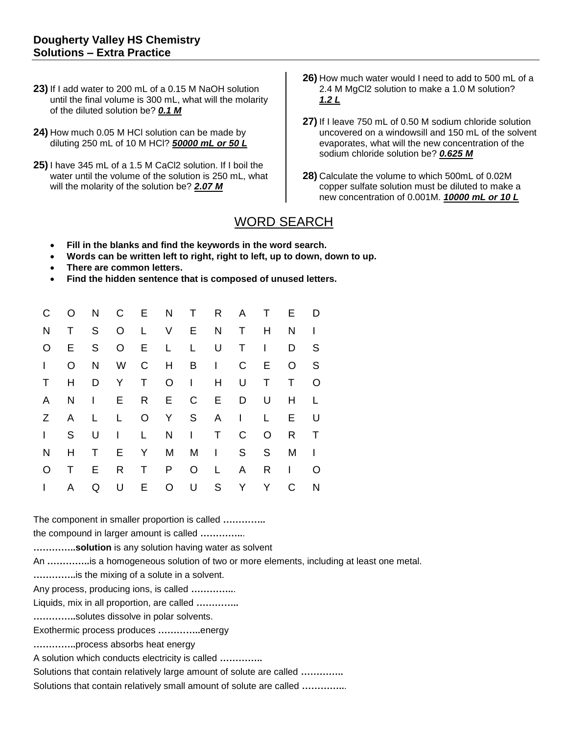- **23)** If I add water to 200 mL of a 0.15 M NaOH solution until the final volume is 300 mL, what will the molarity of the diluted solution be? *0.1 M*
- **24)** How much 0.05 M HCl solution can be made by diluting 250 mL of 10 M HCl? *50000 mL or 50 L*
- **25)** I have 345 mL of a 1.5 M CaCl2 solution. If I boil the water until the volume of the solution is 250 mL, what will the molarity of the solution be? *2.07 M*
- **26)** How much water would I need to add to 500 mL of a 2.4 M MgCl2 solution to make a 1.0 M solution? *1.2 L*
- **27)** If I leave 750 mL of 0.50 M sodium chloride solution uncovered on a windowsill and 150 mL of the solvent evaporates, what will the new concentration of the sodium chloride solution be? *0.625 M*
- **28)** Calculate the volume to which 500mL of 0.02M copper sulfate solution must be diluted to make a new concentration of 0.001M. *10000 mL or 10 L*

# WORD SEARCH

- **Fill in the blanks and find the keywords in the word search.**
- **Words can be written left to right, right to left, up to down, down to up.**
- **There are common letters.**
- **Find the hidden sentence that is composed of unused letters.**

| C            | $\circ$      |             | N C E N T R A T                              |              |             |             |             |              |                | <b>E</b>     | D              |
|--------------|--------------|-------------|----------------------------------------------|--------------|-------------|-------------|-------------|--------------|----------------|--------------|----------------|
| $\mathsf{N}$ | T.           | S           | O L                                          |              | V E N T     |             |             |              | H              | N            | $\blacksquare$ |
| $\circ$      | E            | S —         |                                              |              | O E L L U T |             |             |              | $\overline{1}$ | D            | S              |
| L            | $\circ$      | N           | W C H                                        |              |             |             | $B \quad 1$ | $\mathsf{C}$ | E              | $\circ$      | <sub>S</sub>   |
| T            | H            |             | D Y T                                        |              |             | $O \quad 1$ | H           | U            | T              | $\top$       | O              |
| A            | - N          |             | $\blacksquare$ $\blacksquare$ $\blacksquare$ |              | R E         | $C$ $E$     |             | D            | U              | H            | L.             |
| Z —          | $\mathsf{A}$ | L           | L,                                           |              | O Y S A I   |             |             |              | L.             | E            | U              |
| $\mathbf{L}$ | S —          |             | $U \cup$                                     | $\mathsf{L}$ | N I T       |             |             | $\mathsf{C}$ | $\circ$        | R            | T              |
| N            | H            | T           | E                                            | $\mathsf{Y}$ | M           |             | $M \cup I$  | S            | S.             | M            | $\blacksquare$ |
| $\circ$      | T.           | E.          | R T                                          |              | P           | O L         |             | $\mathsf{A}$ | R              | $\mathbf{I}$ | O              |
| $\mathbf{L}$ | A            | $\mathsf Q$ | U                                            | E.           | $\circ$     |             | U S         | Y -          | Y              | C            | N              |

The component in smaller proportion is called **…………..**

the compound in larger amount is called **…………..**.

**…………..solution** is any solution having water as solvent

An **…………..**is a homogeneous solution of two or more elements, including at least one metal.

**…………..**is the mixing of a solute in a solvent.

Any process, producing ions, is called **…………..**.

Liquids, mix in all proportion, are called **…………..**

**…………..**solutes dissolve in polar solvents.

Exothermic process produces **…………..**energy

**…………..**process absorbs heat energy

A solution which conducts electricity is called **…………..**

Solutions that contain relatively large amount of solute are called **…………..**

Solutions that contain relatively small amount of solute are called **…………..**.